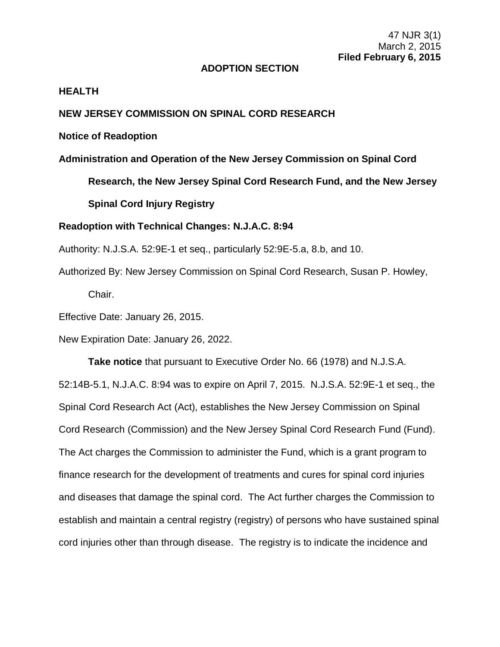## **ADOPTION SECTION**

## **HEALTH**

## **NEW JERSEY COMMISSION ON SPINAL CORD RESEARCH**

## **Notice of Readoption**

**Administration and Operation of the New Jersey Commission on Spinal Cord** 

**Research, the New Jersey Spinal Cord Research Fund, and the New Jersey Spinal Cord Injury Registry**

## **Readoption with Technical Changes: N.J.A.C. 8:94**

Authority: N.J.S.A. 52:9E-1 et seq., particularly 52:9E-5.a, 8.b, and 10.

Authorized By: New Jersey Commission on Spinal Cord Research, Susan P. Howley, Chair.

Effective Date: January 26, 2015.

New Expiration Date: January 26, 2022.

**Take notice** that pursuant to Executive Order No. 66 (1978) and N.J.S.A. 52:14B-5.1, N.J.A.C. 8:94 was to expire on April 7, 2015. N.J.S.A. 52:9E-1 et seq., the Spinal Cord Research Act (Act), establishes the New Jersey Commission on Spinal Cord Research (Commission) and the New Jersey Spinal Cord Research Fund (Fund). The Act charges the Commission to administer the Fund, which is a grant program to finance research for the development of treatments and cures for spinal cord injuries and diseases that damage the spinal cord. The Act further charges the Commission to establish and maintain a central registry (registry) of persons who have sustained spinal cord injuries other than through disease. The registry is to indicate the incidence and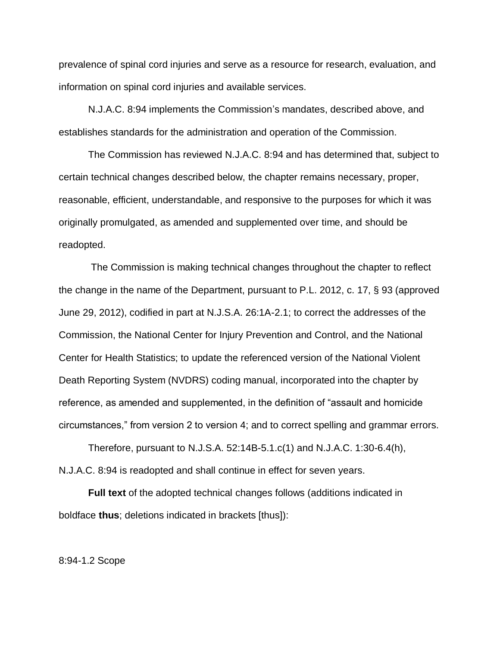prevalence of spinal cord injuries and serve as a resource for research, evaluation, and information on spinal cord injuries and available services.

N.J.A.C. 8:94 implements the Commission's mandates, described above, and establishes standards for the administration and operation of the Commission.

The Commission has reviewed N.J.A.C. 8:94 and has determined that, subject to certain technical changes described below, the chapter remains necessary, proper, reasonable, efficient, understandable, and responsive to the purposes for which it was originally promulgated, as amended and supplemented over time, and should be readopted.

The Commission is making technical changes throughout the chapter to reflect the change in the name of the Department, pursuant to P.L. 2012, c. 17, § 93 (approved June 29, 2012), codified in part at N.J.S.A. 26:1A-2.1; to correct the addresses of the Commission, the National Center for Injury Prevention and Control, and the National Center for Health Statistics; to update the referenced version of the National Violent Death Reporting System (NVDRS) coding manual, incorporated into the chapter by reference, as amended and supplemented, in the definition of "assault and homicide circumstances," from version 2 to version 4; and to correct spelling and grammar errors.

Therefore, pursuant to N.J.S.A. 52:14B-5.1.c(1) and N.J.A.C. 1:30-6.4(h), N.J.A.C. 8:94 is readopted and shall continue in effect for seven years.

**Full text** of the adopted technical changes follows (additions indicated in boldface **thus**; deletions indicated in brackets [thus]):

#### 8:94-1.2 Scope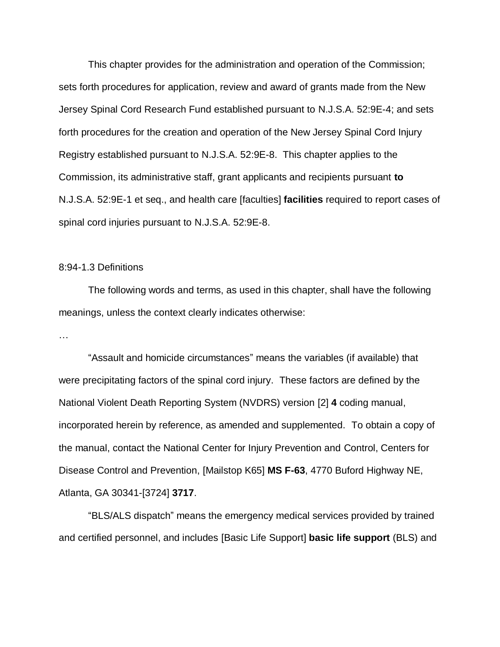This chapter provides for the administration and operation of the Commission; sets forth procedures for application, review and award of grants made from the New Jersey Spinal Cord Research Fund established pursuant to N.J.S.A. 52:9E-4; and sets forth procedures for the creation and operation of the New Jersey Spinal Cord Injury Registry established pursuant to N.J.S.A. 52:9E-8. This chapter applies to the Commission, its administrative staff, grant applicants and recipients pursuant **to**  N.J.S.A. 52:9E-1 et seq., and health care [faculties] **facilities** required to report cases of spinal cord injuries pursuant to N.J.S.A. 52:9E-8.

#### 8:94-1.3 Definitions

The following words and terms, as used in this chapter, shall have the following meanings, unless the context clearly indicates otherwise:

…

"Assault and homicide circumstances" means the variables (if available) that were precipitating factors of the spinal cord injury. These factors are defined by the National Violent Death Reporting System (NVDRS) version [2] **4** coding manual, incorporated herein by reference, as amended and supplemented. To obtain a copy of the manual, contact the National Center for Injury Prevention and Control, Centers for Disease Control and Prevention, [Mailstop K65] **MS F-63**, 4770 Buford Highway NE, Atlanta, GA 30341-[3724] **3717**.

"BLS/ALS dispatch" means the emergency medical services provided by trained and certified personnel, and includes [Basic Life Support] **basic life support** (BLS) and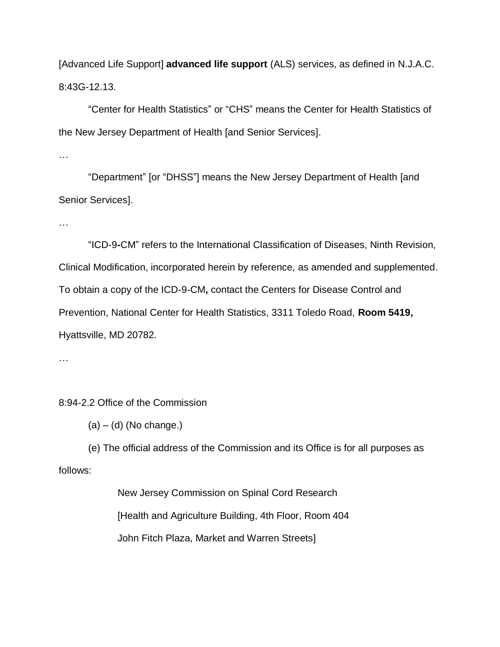[Advanced Life Support] **advanced life support** (ALS) services, as defined in N.J.A.C. 8:43G-12.13.

"Center for Health Statistics" or "CHS" means the Center for Health Statistics of the New Jersey Department of Health [and Senior Services].

…

"Department" [or "DHSS"] means the New Jersey Department of Health [and Senior Services].

…

"ICD-9**-**CM" refers to the International Classification of Diseases, Ninth Revision, Clinical Modification, incorporated herein by reference, as amended and supplemented. To obtain a copy of the ICD-9-CM**,** contact the Centers for Disease Control and Prevention, National Center for Health Statistics, 3311 Toledo Road, **Room 5419,** Hyattsville, MD 20782.

…

# 8:94-2.2 Office of the Commission

 $(a) - (d)$  (No change.)

(e) The official address of the Commission and its Office is for all purposes as follows:

> New Jersey Commission on Spinal Cord Research [Health and Agriculture Building, 4th Floor, Room 404 John Fitch Plaza, Market and Warren Streets]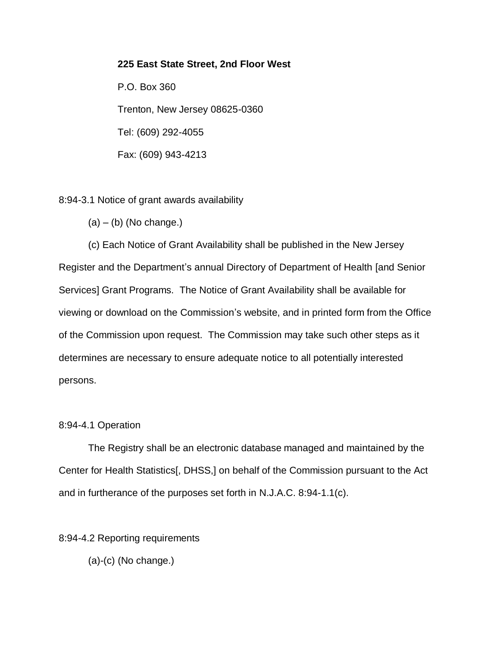## **225 East State Street, 2nd Floor West**

P.O. Box 360 Trenton, New Jersey 08625-0360 Tel: (609) 292-4055 Fax: (609) 943-4213

8:94-3.1 Notice of grant awards availability

 $(a) - (b)$  (No change.)

(c) Each Notice of Grant Availability shall be published in the New Jersey Register and the Department's annual Directory of Department of Health [and Senior Services] Grant Programs. The Notice of Grant Availability shall be available for viewing or download on the Commission's website, and in printed form from the Office of the Commission upon request. The Commission may take such other steps as it determines are necessary to ensure adequate notice to all potentially interested persons.

## 8:94-4.1 Operation

The Registry shall be an electronic database managed and maintained by the Center for Health Statistics[, DHSS,] on behalf of the Commission pursuant to the Act and in furtherance of the purposes set forth in N.J.A.C. 8:94-1.1(c).

8:94-4.2 Reporting requirements

 $(a)-(c)$  (No change.)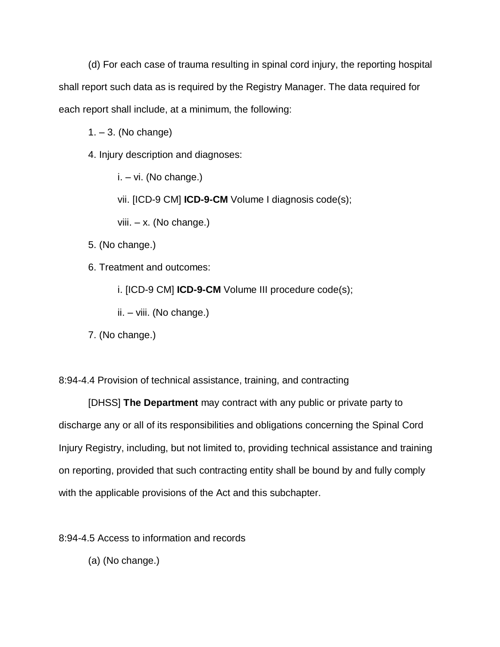(d) For each case of trauma resulting in spinal cord injury, the reporting hospital shall report such data as is required by the Registry Manager. The data required for each report shall include, at a minimum, the following:

 $1. - 3.$  (No change)

4. Injury description and diagnoses:

i. – vi. (No change.)

vii. [ICD-9 CM] **ICD-9-CM** Volume I diagnosis code(s);

viii. – x. (No change.)

5. (No change.)

6. Treatment and outcomes:

i. [ICD-9 CM] **ICD-9-CM** Volume III procedure code(s);

ii. – viii. (No change.)

7. (No change.)

8:94-4.4 Provision of technical assistance, training, and contracting

[DHSS] **The Department** may contract with any public or private party to discharge any or all of its responsibilities and obligations concerning the Spinal Cord Injury Registry, including, but not limited to, providing technical assistance and training on reporting, provided that such contracting entity shall be bound by and fully comply with the applicable provisions of the Act and this subchapter.

8:94-4.5 Access to information and records

(a) (No change.)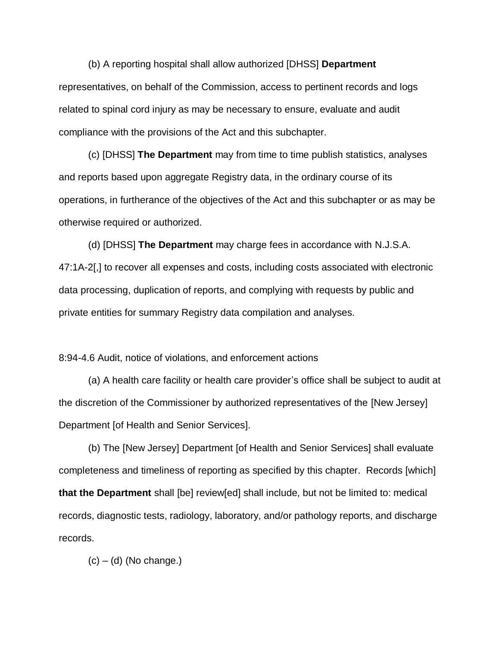(b) A reporting hospital shall allow authorized [DHSS] **Department** representatives, on behalf of the Commission, access to pertinent records and logs related to spinal cord injury as may be necessary to ensure, evaluate and audit compliance with the provisions of the Act and this subchapter.

(c) [DHSS] **The Department** may from time to time publish statistics, analyses and reports based upon aggregate Registry data, in the ordinary course of its operations, in furtherance of the objectives of the Act and this subchapter or as may be otherwise required or authorized.

(d) [DHSS] **The Department** may charge fees in accordance with N.J.S.A. 47:1A-2[,] to recover all expenses and costs, including costs associated with electronic data processing, duplication of reports, and complying with requests by public and private entities for summary Registry data compilation and analyses.

8:94-4.6 Audit, notice of violations, and enforcement actions

(a) A health care facility or health care provider's office shall be subject to audit at the discretion of the Commissioner by authorized representatives of the [New Jersey] Department [of Health and Senior Services].

(b) The [New Jersey] Department [of Health and Senior Services] shall evaluate completeness and timeliness of reporting as specified by this chapter. Records [which] **that the Department** shall [be] review[ed] shall include, but not be limited to: medical records, diagnostic tests, radiology, laboratory, and/or pathology reports, and discharge records.

 $(c) - (d)$  (No change.)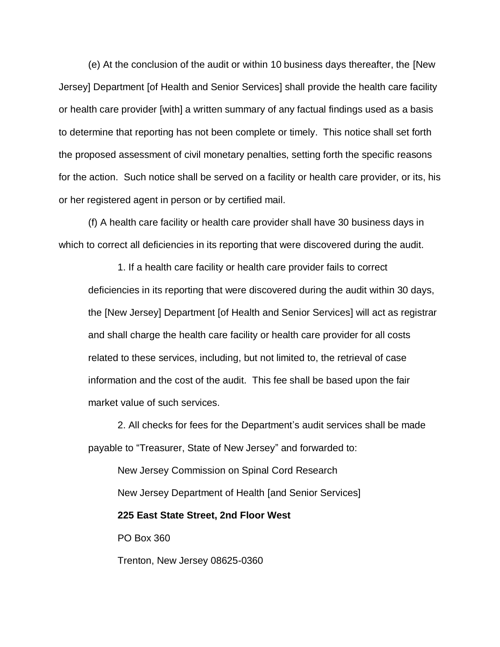(e) At the conclusion of the audit or within 10 business days thereafter, the [New Jersey] Department [of Health and Senior Services] shall provide the health care facility or health care provider [with] a written summary of any factual findings used as a basis to determine that reporting has not been complete or timely. This notice shall set forth the proposed assessment of civil monetary penalties, setting forth the specific reasons for the action. Such notice shall be served on a facility or health care provider, or its, his or her registered agent in person or by certified mail.

(f) A health care facility or health care provider shall have 30 business days in which to correct all deficiencies in its reporting that were discovered during the audit.

1. If a health care facility or health care provider fails to correct deficiencies in its reporting that were discovered during the audit within 30 days, the [New Jersey] Department [of Health and Senior Services] will act as registrar and shall charge the health care facility or health care provider for all costs related to these services, including, but not limited to, the retrieval of case information and the cost of the audit. This fee shall be based upon the fair market value of such services.

2. All checks for fees for the Department's audit services shall be made payable to "Treasurer, State of New Jersey" and forwarded to:

New Jersey Commission on Spinal Cord Research New Jersey Department of Health [and Senior Services] **225 East State Street, 2nd Floor West**

PO Box 360

Trenton, New Jersey 08625-0360